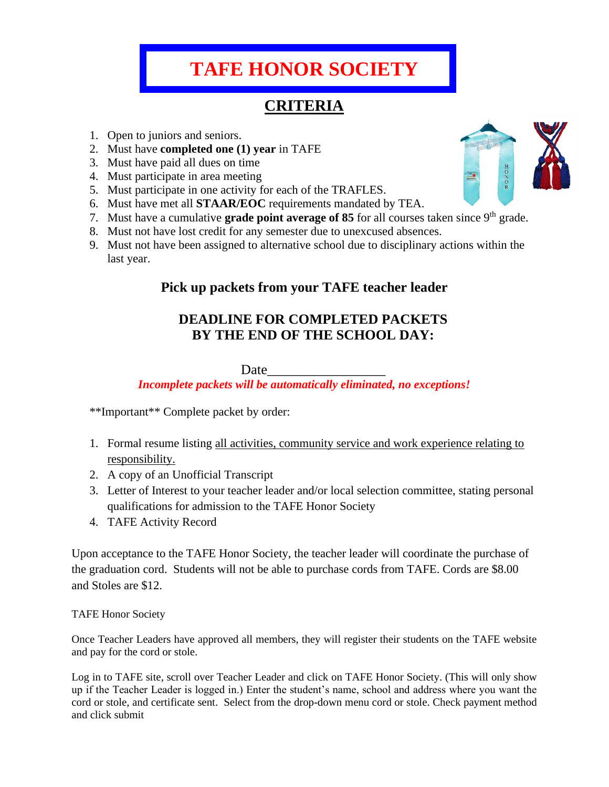# **TAFE HONOR SOCIETY**

## **CRITERIA**

- 1. Open to juniors and seniors.
- 2. Must have **completed one (1) year** in TAFE
- 3. Must have paid all dues on time
- 4. Must participate in area meeting
- 5. Must participate in one activity for each of the TRAFLES.
- 6. Must have met all **STAAR/EOC** requirements mandated by TEA.
- 7. Must have a cumulative **grade point average of 85** for all courses taken since 9<sup>th</sup> grade.
- 8. Must not have lost credit for any semester due to unexcused absences.
- 9. Must not have been assigned to alternative school due to disciplinary actions within the last year.

#### **Pick up packets from your TAFE teacher leader**

### **DEADLINE FOR COMPLETED PACKETS BY THE END OF THE SCHOOL DAY:**

Date

*Incomplete packets will be automatically eliminated, no exceptions!*

\*\*Important\*\* Complete packet by order:

- 1. Formal resume listing all activities, community service and work experience relating to responsibility.
- 2. A copy of an Unofficial Transcript
- 3. Letter of Interest to your teacher leader and/or local selection committee, stating personal qualifications for admission to the TAFE Honor Society
- 4. TAFE Activity Record

Upon acceptance to the TAFE Honor Society, the teacher leader will coordinate the purchase of the graduation cord. Students will not be able to purchase cords from TAFE. Cords are \$8.00 and Stoles are \$12.

#### TAFE Honor Society

Once Teacher Leaders have approved all members, they will register their students on the TAFE website and pay for the cord or stole.

Log in to TAFE site, scroll over Teacher Leader and click on TAFE Honor Society. (This will only show up if the Teacher Leader is logged in.) Enter the student's name, school and address where you want the cord or stole, and certificate sent. Select from the drop-down menu cord or stole. Check payment method and click submit